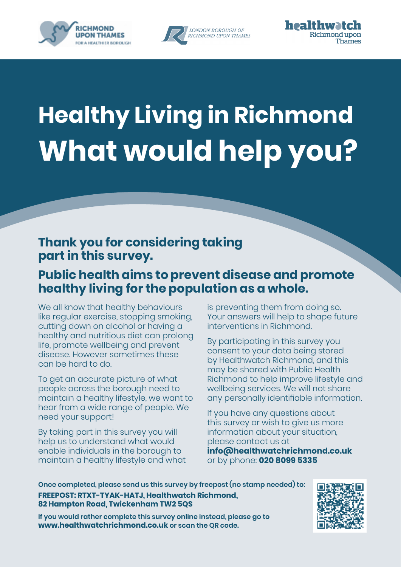





# **Healthy Living in Richmond What would help you?**

### **Thank you for considering taking part in this survey.**

### **Public health aims to prevent disease and promote healthy living for the population as a whole.**

We all know that healthy behaviours like regular exercise, stopping smoking, cutting down on alcohol or having a healthy and nutritious diet can prolong life, promote wellbeing and prevent disease. However sometimes these can be hard to do.

To get an accurate picture of what people across the borough need to maintain a healthy lifestyle, we want to hear from a wide range of people. We need your support!

By taking part in this survey you will help us to understand what would enable individuals in the borough to maintain a healthy lifestyle and what is preventing them from doing so. Your answers will help to shape future interventions in Richmond.

By participating in this survey you consent to your data being stored by Healthwatch Richmond, and this may be shared with Public Health Richmond to help improve lifestyle and wellbeing services. We will not share any personally identifiable information.

If you have any questions about this survey or wish to give us more information about your situation, please contact us at **[info@healthwatchrichmond.co.uk](mailto:info@healthwatchrichmond.co.uk)** or by phone: **020 8099 5335**

**Once completed, please send us this survey by freepost (no stamp needed) to: FREEPOST: RTXT-TYAK-HATJ, Healthwatch Richmond, 82 Hampton Road, Twickenham TW2 5QS**



**If you would rather complete this survey online instead, please go to [www.healthwatchrichmond.co.uk](http://www.healthwatchrichmond.co.uk) or scan the QR code.**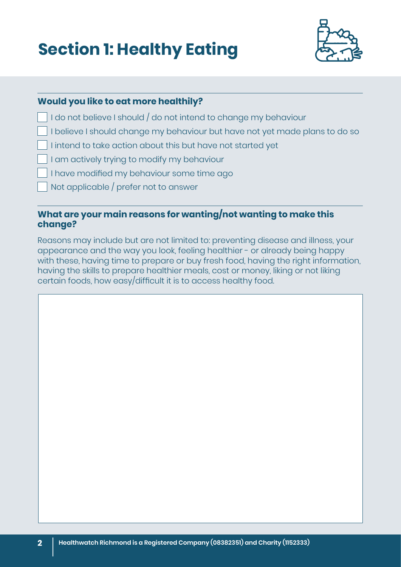# **Section 1: Healthy Eating**



#### **Would you like to eat more healthily?**

I do not believe I should / do not intend to change my behaviour

- I believe I should change my behaviour but have not yet made plans to do so
- I intend to take action about this but have not started yet
- I am actively trying to modify my behaviour
- I have modified my behaviour some time ago
- Not applicable / prefer not to answer

#### **What are your main reasons for wanting/not wanting to make this change?**

Reasons may include but are not limited to: preventing disease and illness, your appearance and the way you look, feeling healthier - or already being happy with these, having time to prepare or buy fresh food, having the right information, having the skills to prepare healthier meals, cost or money, liking or not liking certain foods, how easy/difficult it is to access healthy food.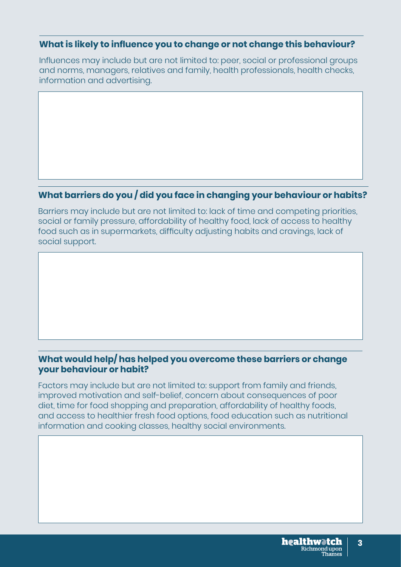Influences may include but are not limited to: peer, social or professional groups and norms, managers, relatives and family, health professionals, health checks, information and advertising.

#### **What barriers do you / did you face in changing your behaviour or habits?**

Barriers may include but are not limited to: lack of time and competing priorities, social or family pressure, affordability of healthy food, lack of access to healthy food such as in supermarkets, difficulty adjusting habits and cravings, lack of social support.

#### **What would help/ has helped you overcome these barriers or change your behaviour or habit?**

Factors may include but are not limited to: support from family and friends, improved motivation and self-belief, concern about consequences of poor diet, time for food shopping and preparation, affordability of healthy foods, and access to healthier fresh food options, food education such as nutritional information and cooking classes, healthy social environments.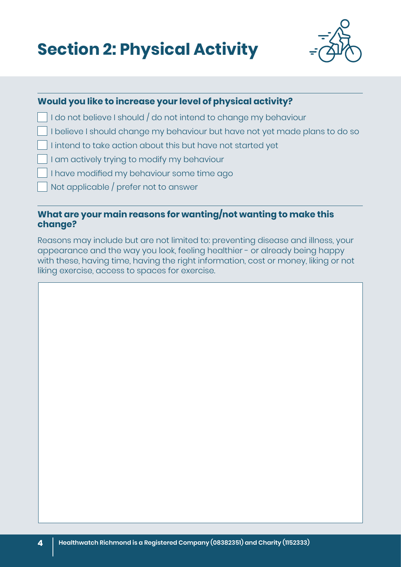| <b>Section 2: Physical Activity</b> |  |  |
|-------------------------------------|--|--|
|                                     |  |  |



#### **Would you like to increase your level of physical activity?**

- I do not believe I should / do not intend to change my behaviour
- I believe I should change my behaviour but have not yet made plans to do so
- I intend to take action about this but have not started yet
- I am actively trying to modify my behaviour
- I have modified my behaviour some time ago
- Not applicable / prefer not to answer

#### **What are your main reasons for wanting/not wanting to make this change?**

Reasons may include but are not limited to: preventing disease and illness, your appearance and the way you look, feeling healthier - or already being happy with these, having time, having the right information, cost or money, liking or not liking exercise, access to spaces for exercise.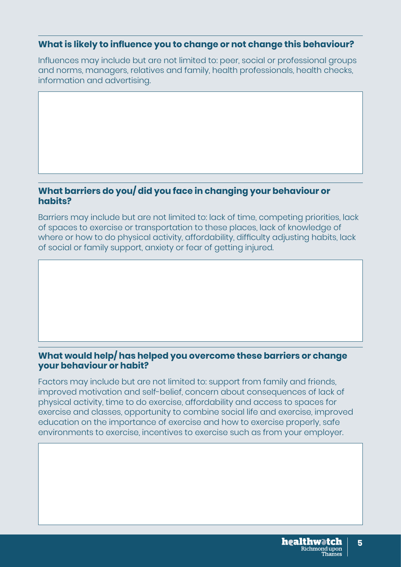Influences may include but are not limited to: peer, social or professional groups and norms, managers, relatives and family, health professionals, health checks, information and advertising.

#### **What barriers do you/ did you face in changing your behaviour or habits?**

Barriers may include but are not limited to: lack of time, competing priorities, lack of spaces to exercise or transportation to these places, lack of knowledge of where or how to do physical activity, affordability, difficulty adjusting habits, lack of social or family support, anxiety or fear of getting injured.

#### **What would help/ has helped you overcome these barriers or change your behaviour or habit?**

Factors may include but are not limited to: support from family and friends, improved motivation and self-belief, concern about consequences of lack of physical activity, time to do exercise, affordability and access to spaces for exercise and classes, opportunity to combine social life and exercise, improved education on the importance of exercise and how to exercise properly, safe environments to exercise, incentives to exercise such as from your employer.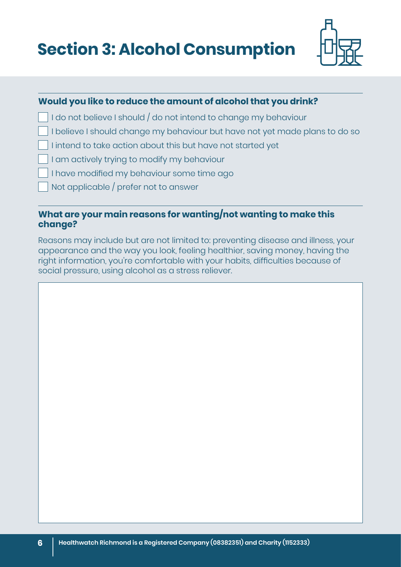**Section 3: Alcohol Consumption**



#### **Would you like to reduce the amount of alcohol that you drink?**

- I do not believe I should / do not intend to change my behaviour
- I believe I should change my behaviour but have not yet made plans to do so
- I intend to take action about this but have not started yet
- I am actively trying to modify my behaviour
- I have modified my behaviour some time ago
- Not applicable / prefer not to answer

#### **What are your main reasons for wanting/not wanting to make this change?**

Reasons may include but are not limited to: preventing disease and illness, your appearance and the way you look, feeling healthier, saving money, having the right information, you're comfortable with your habits, difficulties because of social pressure, using alcohol as a stress reliever.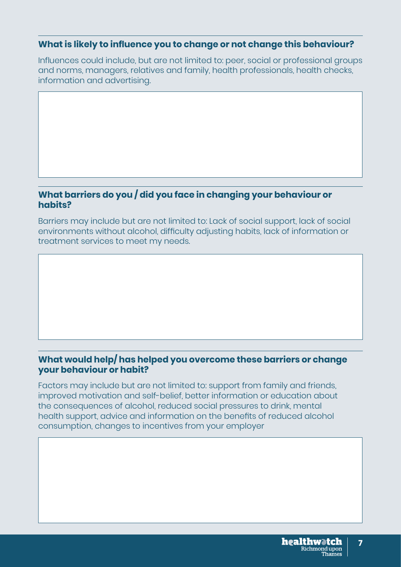Influences could include, but are not limited to: peer, social or professional groups and norms, managers, relatives and family, health professionals, health checks, information and advertising.

#### **What barriers do you / did you face in changing your behaviour or habits?**

Barriers may include but are not limited to: Lack of social support, lack of social environments without alcohol, difficulty adjusting habits, lack of information or treatment services to meet my needs.

#### **What would help/ has helped you overcome these barriers or change your behaviour or habit?**

Factors may include but are not limited to: support from family and friends, improved motivation and self-belief, better information or education about the consequences of alcohol, reduced social pressures to drink, mental health support, advice and information on the benefits of reduced alcohol consumption, changes to incentives from your employer

**7**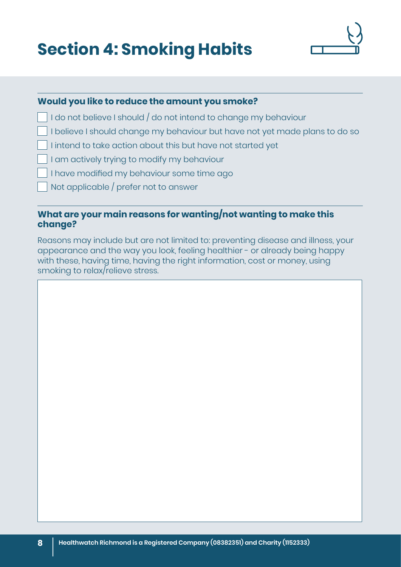## **Section 4: Smoking Habits**



#### **Would you like to reduce the amount you smoke?**

I do not believe I should / do not intend to change my behaviour

- I believe I should change my behaviour but have not yet made plans to do so
- I intend to take action about this but have not started yet
- I am actively trying to modify my behaviour
- I have modified my behaviour some time ago
- Not applicable / prefer not to answer

#### **What are your main reasons for wanting/not wanting to make this change?**

Reasons may include but are not limited to: preventing disease and illness, your appearance and the way you look, feeling healthier - or already being happy with these, having time, having the right information, cost or money, using smoking to relax/relieve stress.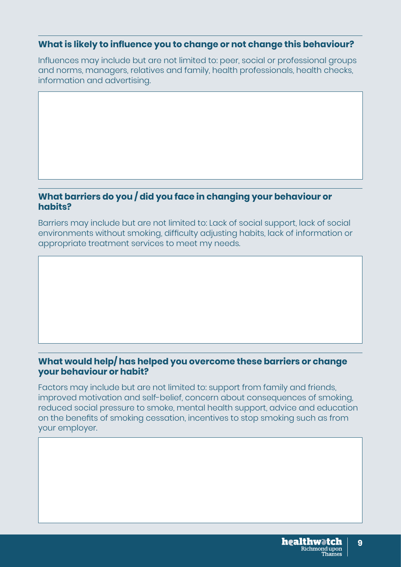Influences may include but are not limited to: peer, social or professional groups and norms, managers, relatives and family, health professionals, health checks, information and advertising.

#### **What barriers do you / did you face in changing your behaviour or habits?**

Barriers may include but are not limited to: Lack of social support, lack of social environments without smoking, difficulty adjusting habits, lack of information or appropriate treatment services to meet my needs.

#### **What would help/ has helped you overcome these barriers or change your behaviour or habit?**

Factors may include but are not limited to: support from family and friends, improved motivation and self-belief, concern about consequences of smoking, reduced social pressure to smoke, mental health support, advice and education on the benefits of smoking cessation, incentives to stop smoking such as from your employer.

**9**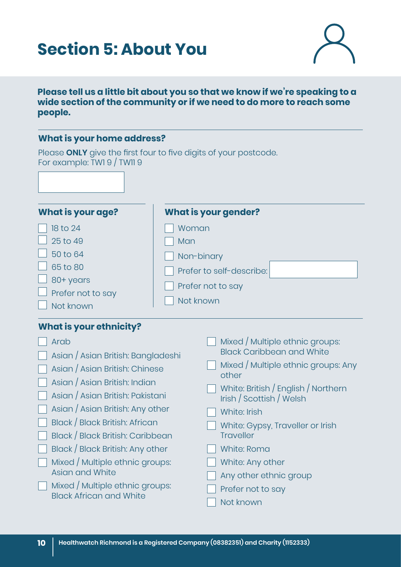### **Section 5: About You**



#### **Please tell us a little bit about you so that we know if we're speaking to a wide section of the community or if we need to do more to reach some people.**

#### **What is your home address?**

Please **ONLY** give the first four to five digits of your postcode. For example: TW1 9 / TW11 9

| <b>What is your age?</b>                                                                    | <b>What is your gender?</b>                                                              |  |  |
|---------------------------------------------------------------------------------------------|------------------------------------------------------------------------------------------|--|--|
| 18 to 24<br>25 to 49<br>50 to 64<br>65 to 80<br>80+ years<br>Prefer not to say<br>Not known | Woman<br>Man<br>Non-binary<br>Prefer to self-describe:<br>Prefer not to say<br>Not known |  |  |
| <b>What is your ethnicity?</b>                                                              | Mixed / Multiple ethnic groups:                                                          |  |  |
| Arab                                                                                        | <b>Black Caribbean and White</b>                                                         |  |  |
| Asian / Asian British: Bangladeshi                                                          | Mixed / Multiple ethnic groups: Any                                                      |  |  |
| Asian / Asian British: Chinese                                                              | other                                                                                    |  |  |
| Asian / Asian British: Indian                                                               | White: British / English / Northern                                                      |  |  |
| Asian / Asian British: Pakistani                                                            | Irish / Scottish / Welsh                                                                 |  |  |
| Asian / Asian British: Any other                                                            | White: Irish                                                                             |  |  |
| Black / Black British: African                                                              | White: Gypsy, Traveller or Irish                                                         |  |  |
| Black / Black British: Caribbean                                                            | <b>Traveller</b>                                                                         |  |  |
| Black / Black British: Any other                                                            | White: Roma                                                                              |  |  |
| Mixed / Multiple ethnic groups:                                                             | White: Any other                                                                         |  |  |
| Asian and White                                                                             | Any other ethnic group                                                                   |  |  |
| Mixed / Multiple ethnic groups:                                                             | Prefer not to say                                                                        |  |  |

**Mixed / Multiple ethnic groups:** Black African and White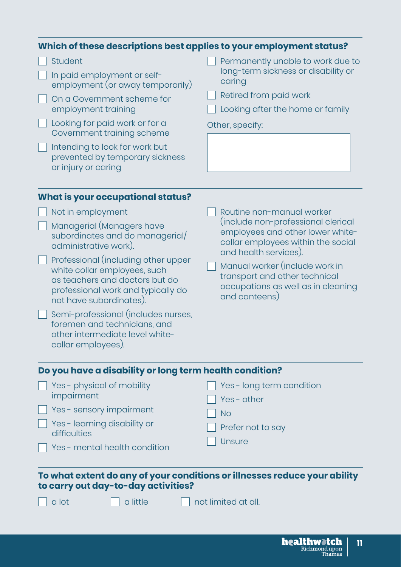| Which of these descriptions best applies to your employment status?                                                                                                                                                                                                                                                                                                                                                  |                                                                                                                                                                                                                                                                                              |
|----------------------------------------------------------------------------------------------------------------------------------------------------------------------------------------------------------------------------------------------------------------------------------------------------------------------------------------------------------------------------------------------------------------------|----------------------------------------------------------------------------------------------------------------------------------------------------------------------------------------------------------------------------------------------------------------------------------------------|
| <b>Student</b><br>In paid employment or self-<br>employment (or away temporarily)<br>On a Government scheme for<br>employment training<br>Looking for paid work or for a<br>Government training scheme<br>Intending to look for work but<br>prevented by temporary sickness<br>or injury or caring                                                                                                                   | Permanently unable to work due to<br>long-term sickness or disability or<br>caring<br>Retired from paid work<br>Looking after the home or family<br>Other, specify:                                                                                                                          |
| <b>What is your occupational status?</b>                                                                                                                                                                                                                                                                                                                                                                             |                                                                                                                                                                                                                                                                                              |
| Not in employment<br>Managerial (Managers have<br>subordinates and do managerial/<br>administrative work).<br>Professional (including other upper<br>white collar employees, such<br>as teachers and doctors but do<br>professional work and typically do<br>not have subordinates).<br>Semi-professional (includes nurses,<br>foremen and technicians, and<br>other intermediate level white-<br>collar employees). | Routine non-manual worker<br>(include non-professional clerical<br>employees and other lower white-<br>collar employees within the social<br>and health services).<br>Manual worker (include work in<br>transport and other technical<br>occupations as well as in cleaning<br>and canteens) |
| Do you have a disability or long term health condition?                                                                                                                                                                                                                                                                                                                                                              |                                                                                                                                                                                                                                                                                              |
| Yes - physical of mobility<br>impairment<br>Yes - sensory impairment<br>Yes - learning disability or<br>difficulties<br>Yes - mental health condition                                                                                                                                                                                                                                                                | Yes - long term condition<br>Yes - other<br><b>No</b><br>Prefer not to say<br><b>Unsure</b>                                                                                                                                                                                                  |
| To what extent do any of your conditions or illnesses reduce your ability<br>to carry out day-to-day activities?<br>a lot<br>a little                                                                                                                                                                                                                                                                                | not limited at all.                                                                                                                                                                                                                                                                          |

**11**